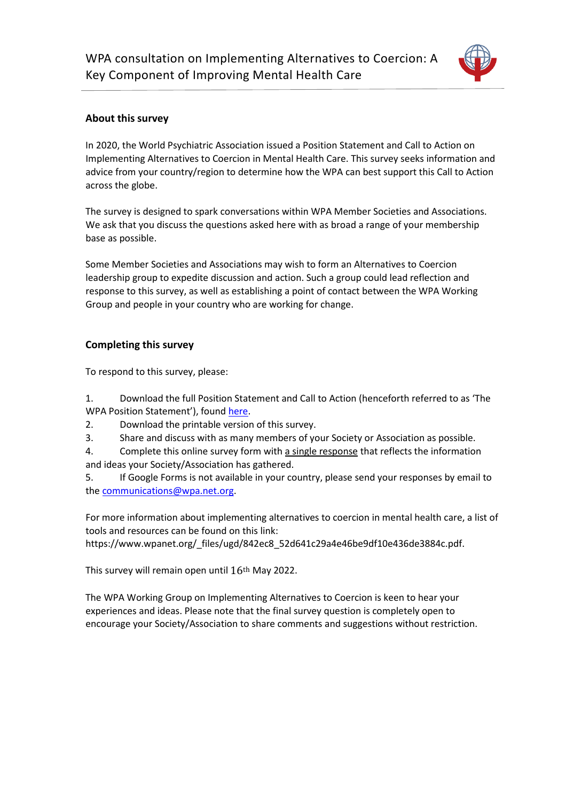

## **About this survey**

In 2020, the World Psychiatric Association issued a Position Statement and Call to Action on Implementing Alternatives to Coercion in Mental Health Care. This survey seeks information and advice from your country/region to determine how the WPA can best support this Call to Action across the globe.

The survey is designed to spark conversations within WPA Member Societies and Associations. We ask that you discuss the questions asked here with as broad a range of your membership base as possible.

Some Member Societies and Associations may wish to form an Alternatives to Coercion leadership group to expedite discussion and action. Such a group could lead reflection and response to this survey, as well as establishing a point of contact between the WPA Working Group and people in your country who are working for change.

# **Completing this survey**

To respond to this survey, please:

1. Download the full Position Statement and Call to Action (henceforth referred to as 'The WPA Position Statement'), found [here.](https://3ba346de-fde6-473f-b1da-536498661f9c.filesusr.com/ugd/e172f3_635a89af889c471683c29fcd981db0aa.pdf)

- 2. Download the printable version of this survey.
- 3. Share and discuss with as many members of your Society or Association as possible.
- 4. Complete this online survey form with a single response that reflects the information and ideas your Society/Association has gathered.
- 5. If Google Forms is not available in your country, please send your responses by email to the [communications@wpa.net.org.](mailto:communications@wpa.net.org)

For more information about implementing alternatives to coercion in mental health care, a list of tools and resources can be found on this link:

https://www.wpanet.org/\_files/ugd/842ec8\_52d641c29a4e46be9df10e436de3884c.pdf.

This survey will remain open until 16th May 2022.

The WPA Working Group on Implementing Alternatives to Coercion is keen to hear your experiences and ideas. Please note that the final survey question is completely open to encourage your Society/Association to share comments and suggestions without restriction.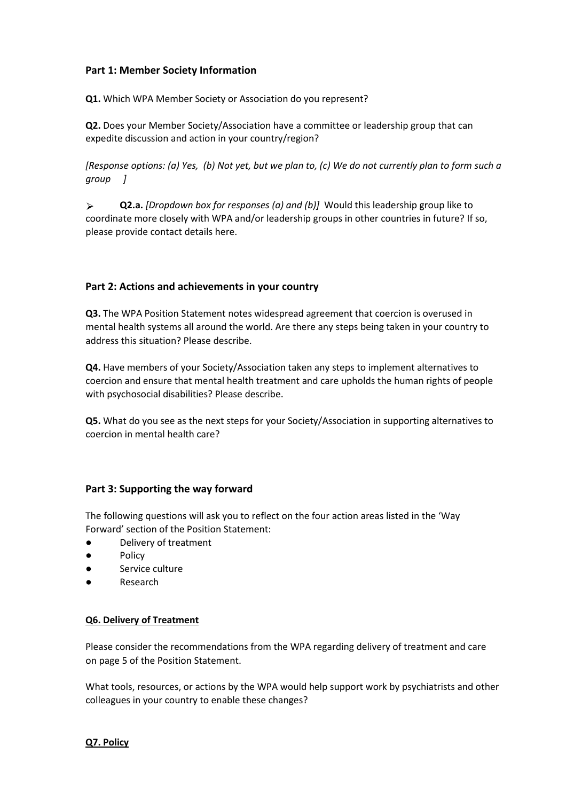## **Part 1: Member Society Information**

**Q1.** Which WPA Member Society or Association do you represent?

**Q2.** Does your Member Society/Association have a committee or leadership group that can expedite discussion and action in your country/region?

*[Response options: (a) Yes, (b) Not yet, but we plan to, (c) We do not currently plan to form such a group ]*

⮚ **Q2.a.** *[Dropdown box for responses (a) and (b)]* Would this leadership group like to coordinate more closely with WPA and/or leadership groups in other countries in future? If so, please provide contact details here.

## **Part 2: Actions and achievements in your country**

**Q3.** The WPA Position Statement notes widespread agreement that coercion is overused in mental health systems all around the world. Are there any steps being taken in your country to address this situation? Please describe.

**Q4.** Have members of your Society/Association taken any steps to implement alternatives to coercion and ensure that mental health treatment and care upholds the human rights of people with psychosocial disabilities? Please describe.

**Q5.** What do you see as the next steps for your Society/Association in supporting alternatives to coercion in mental health care?

#### **Part 3: Supporting the way forward**

The following questions will ask you to reflect on the four action areas listed in the 'Way Forward' section of the Position Statement:

- Delivery of treatment
- Policy
- Service culture
- Research

#### **Q6. Delivery of Treatment**

Please consider the recommendations from the WPA regarding delivery of treatment and care on page 5 of the Position Statement.

What tools, resources, or actions by the WPA would help support work by psychiatrists and other colleagues in your country to enable these changes?